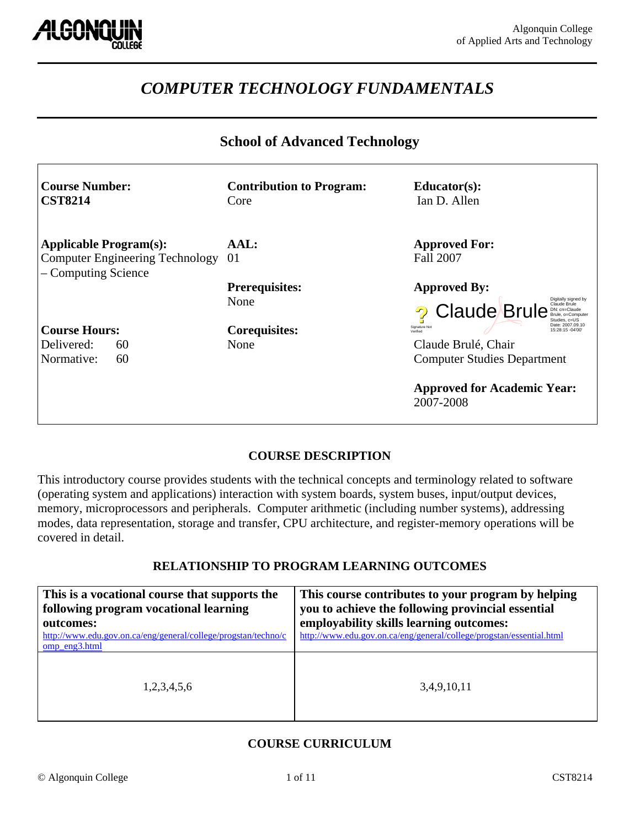

# *COMPUTER TECHNOLOGY FUNDAMENTALS*

#### **School of Advanced Technology**

| <b>Course Number:</b><br><b>CST8214</b>                                                        | <b>Contribution to Program:</b><br>Core | $Educator(s)$ :<br>Ian D. Allen                                                                                                                                                  |
|------------------------------------------------------------------------------------------------|-----------------------------------------|----------------------------------------------------------------------------------------------------------------------------------------------------------------------------------|
| <b>Applicable Program(s):</b><br><b>Computer Engineering Technology</b><br>- Computing Science | AAL:<br>-01                             | <b>Approved For:</b><br><b>Fall 2007</b>                                                                                                                                         |
|                                                                                                | <b>Prerequisites:</b><br>None           | <b>Approved By:</b><br>Digitally signed by<br>Claude Brule<br><b>Claude Brule</b><br>DN: cn=Claude<br>Brule, o=Computer<br>Studies, c=US                                         |
| <b>Course Hours:</b><br>Delivered:<br>60<br>Normative:<br>60                                   | <b>Corequisites:</b><br>None            | Date: 2007.09.10<br>Signature Not<br>15:28:15 -04'00<br>Verified<br>Claude Brulé, Chair<br><b>Computer Studies Department</b><br><b>Approved for Academic Year:</b><br>2007-2008 |

#### **COURSE DESCRIPTION**

This introductory course provides students with the technical concepts and terminology related to software (operating system and applications) interaction with system boards, system buses, input/output devices, memory, microprocessors and peripherals. Computer arithmetic (including number systems), addressing modes, data representation, storage and transfer, CPU architecture, and register-memory operations will be covered in detail.

#### **RELATIONSHIP TO PROGRAM LEARNING OUTCOMES**

| This is a vocational course that supports the<br>following program vocational learning<br>outcomes:<br>http://www.edu.gov.on.ca/eng/general/college/progstan/techno/c<br>omp_eng3.html | This course contributes to your program by helping<br>you to achieve the following provincial essential<br>employability skills learning outcomes:<br>http://www.edu.gov.on.ca/eng/general/college/progstan/essential.html |
|----------------------------------------------------------------------------------------------------------------------------------------------------------------------------------------|----------------------------------------------------------------------------------------------------------------------------------------------------------------------------------------------------------------------------|
| 1,2,3,4,5,6                                                                                                                                                                            | 3,4,9,10,11                                                                                                                                                                                                                |

#### **COURSE CURRICULUM**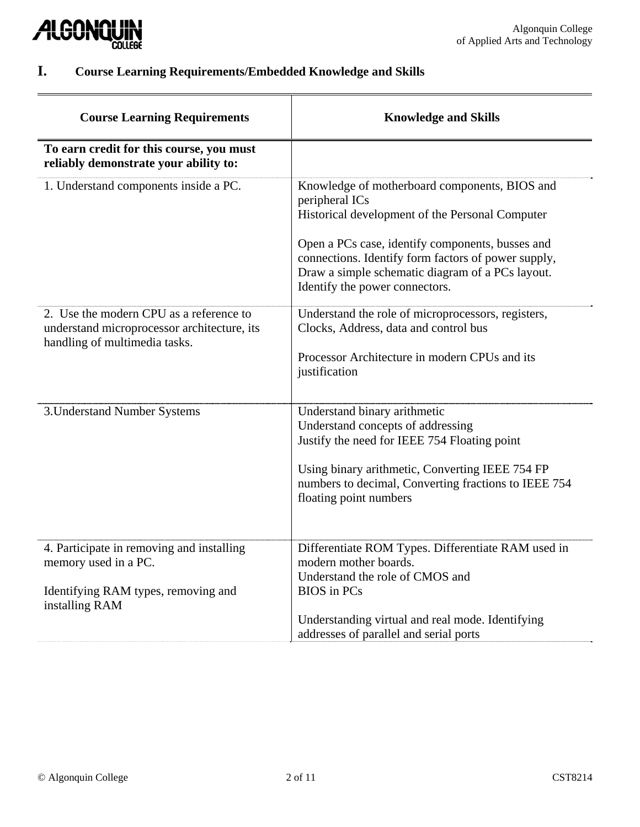

# **I. Course Learning Requirements/Embedded Knowledge and Skills**

| <b>Course Learning Requirements</b>                                                                                        | <b>Knowledge and Skills</b>                                                                                                                                                                                                                                                                                         |
|----------------------------------------------------------------------------------------------------------------------------|---------------------------------------------------------------------------------------------------------------------------------------------------------------------------------------------------------------------------------------------------------------------------------------------------------------------|
| To earn credit for this course, you must<br>reliably demonstrate your ability to:                                          |                                                                                                                                                                                                                                                                                                                     |
| 1. Understand components inside a PC.                                                                                      | Knowledge of motherboard components, BIOS and<br>peripheral ICs<br>Historical development of the Personal Computer<br>Open a PCs case, identify components, busses and<br>connections. Identify form factors of power supply,<br>Draw a simple schematic diagram of a PCs layout.<br>Identify the power connectors. |
| 2. Use the modern CPU as a reference to<br>understand microprocessor architecture, its<br>handling of multimedia tasks.    | Understand the role of microprocessors, registers,<br>Clocks, Address, data and control bus<br>Processor Architecture in modern CPUs and its<br>justification                                                                                                                                                       |
| 3. Understand Number Systems                                                                                               | Understand binary arithmetic<br>Understand concepts of addressing<br>Justify the need for IEEE 754 Floating point<br>Using binary arithmetic, Converting IEEE 754 FP<br>numbers to decimal, Converting fractions to IEEE 754<br>floating point numbers                                                              |
| 4. Participate in removing and installing<br>memory used in a PC.<br>Identifying RAM types, removing and<br>installing RAM | Differentiate ROM Types. Differentiate RAM used in<br>modern mother boards.<br>Understand the role of CMOS and<br><b>BIOS</b> in PCs                                                                                                                                                                                |
|                                                                                                                            | Understanding virtual and real mode. Identifying<br>addresses of parallel and serial ports                                                                                                                                                                                                                          |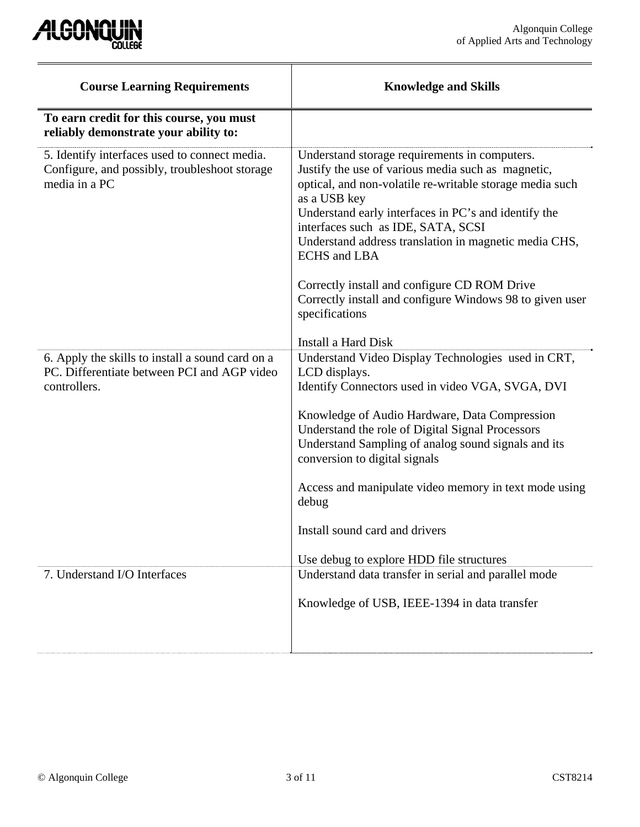

| <b>Course Learning Requirements</b>                                                                             | <b>Knowledge and Skills</b>                                                                                                                                                                                                                                                                                                                                                                                                                                                                 |
|-----------------------------------------------------------------------------------------------------------------|---------------------------------------------------------------------------------------------------------------------------------------------------------------------------------------------------------------------------------------------------------------------------------------------------------------------------------------------------------------------------------------------------------------------------------------------------------------------------------------------|
| To earn credit for this course, you must<br>reliably demonstrate your ability to:                               |                                                                                                                                                                                                                                                                                                                                                                                                                                                                                             |
| 5. Identify interfaces used to connect media.<br>Configure, and possibly, troubleshoot storage<br>media in a PC | Understand storage requirements in computers.<br>Justify the use of various media such as magnetic,<br>optical, and non-volatile re-writable storage media such<br>as a USB key<br>Understand early interfaces in PC's and identify the<br>interfaces such as IDE, SATA, SCSI<br>Understand address translation in magnetic media CHS,<br><b>ECHS</b> and LBA<br>Correctly install and configure CD ROM Drive<br>Correctly install and configure Windows 98 to given user<br>specifications |
| 6. Apply the skills to install a sound card on a                                                                | Install a Hard Disk<br>Understand Video Display Technologies used in CRT,                                                                                                                                                                                                                                                                                                                                                                                                                   |
| PC. Differentiate between PCI and AGP video<br>controllers.                                                     | LCD displays.<br>Identify Connectors used in video VGA, SVGA, DVI                                                                                                                                                                                                                                                                                                                                                                                                                           |
|                                                                                                                 | Knowledge of Audio Hardware, Data Compression<br>Understand the role of Digital Signal Processors<br>Understand Sampling of analog sound signals and its<br>conversion to digital signals                                                                                                                                                                                                                                                                                                   |
|                                                                                                                 | Access and manipulate video memory in text mode using<br>debug                                                                                                                                                                                                                                                                                                                                                                                                                              |
|                                                                                                                 | Install sound card and drivers                                                                                                                                                                                                                                                                                                                                                                                                                                                              |
|                                                                                                                 | Use debug to explore HDD file structures                                                                                                                                                                                                                                                                                                                                                                                                                                                    |
| 7. Understand I/O Interfaces                                                                                    | Understand data transfer in serial and parallel mode                                                                                                                                                                                                                                                                                                                                                                                                                                        |
|                                                                                                                 | Knowledge of USB, IEEE-1394 in data transfer                                                                                                                                                                                                                                                                                                                                                                                                                                                |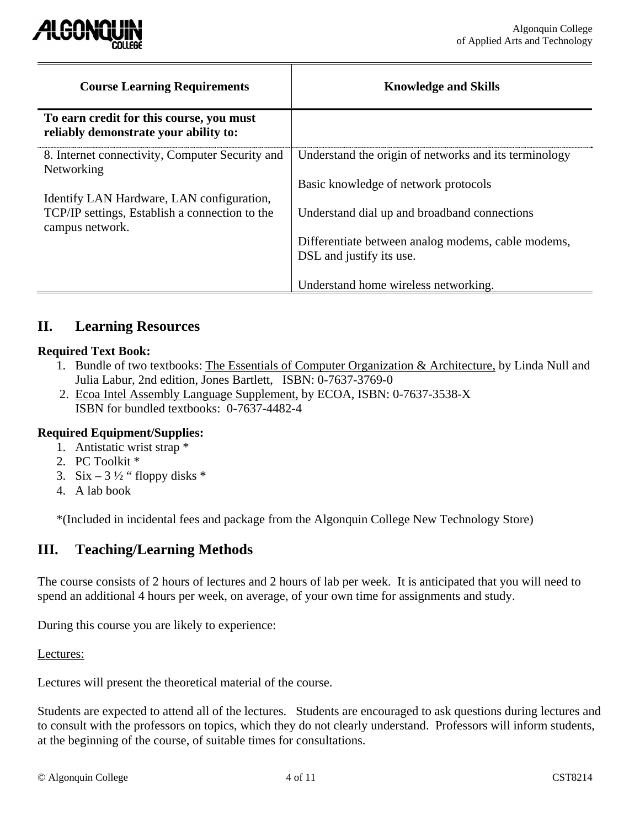

| <b>Course Learning Requirements</b>                                                                            | <b>Knowledge and Skills</b>                                                                   |
|----------------------------------------------------------------------------------------------------------------|-----------------------------------------------------------------------------------------------|
| To earn credit for this course, you must<br>reliably demonstrate your ability to:                              |                                                                                               |
| 8. Internet connectivity, Computer Security and<br>Networking                                                  | Understand the origin of networks and its terminology<br>Basic knowledge of network protocols |
| Identify LAN Hardware, LAN configuration,<br>TCP/IP settings, Establish a connection to the<br>campus network. | Understand dial up and broadband connections                                                  |
|                                                                                                                | Differentiate between analog modems, cable modems,<br>DSL and justify its use.                |
|                                                                                                                | Understand home wireless networking.                                                          |

### **II. Learning Resources**

#### **Required Text Book:**

- 1. Bundle of two textbooks: The Essentials of Computer Organization & Architecture, by Linda Null and Julia Labur, 2nd edition, Jones Bartlett, ISBN: 0-7637-3769-0
- 2. Ecoa Intel Assembly Language Supplement, by ECOA, ISBN: 0-7637-3538-X ISBN for bundled textbooks: 0-7637-4482-4

#### **Required Equipment/Supplies:**

- 1. Antistatic wrist strap \*
- 2. PC Toolkit \*
- 3. Six 3  $\frac{1}{2}$  " floppy disks \*
- 4. A lab book

\*(Included in incidental fees and package from the Algonquin College New Technology Store)

## **III. Teaching/Learning Methods**

The course consists of 2 hours of lectures and 2 hours of lab per week. It is anticipated that you will need to spend an additional 4 hours per week, on average, of your own time for assignments and study.

During this course you are likely to experience:

Lectures:

Lectures will present the theoretical material of the course.

Students are expected to attend all of the lectures. Students are encouraged to ask questions during lectures and to consult with the professors on topics, which they do not clearly understand. Professors will inform students, at the beginning of the course, of suitable times for consultations.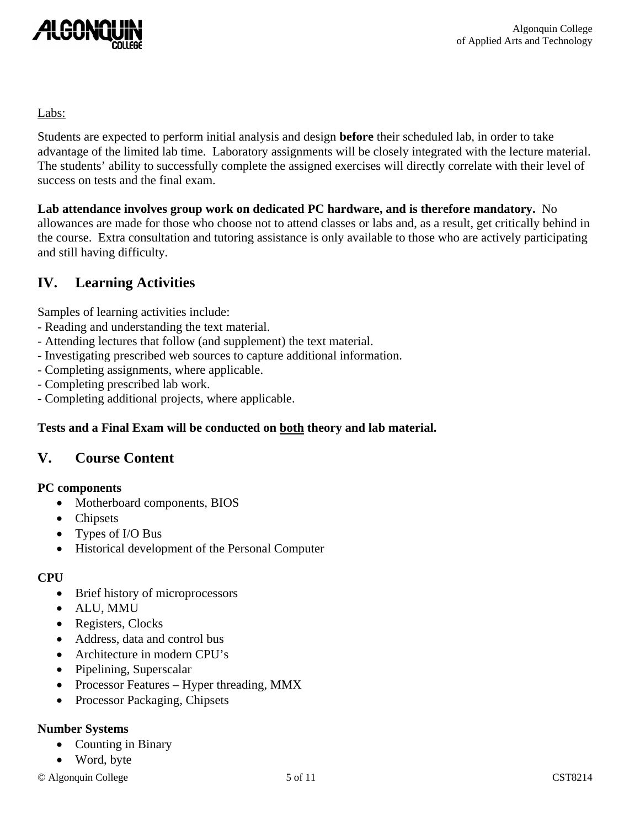

#### Labs:

Students are expected to perform initial analysis and design **before** their scheduled lab, in order to take advantage of the limited lab time. Laboratory assignments will be closely integrated with the lecture material. The students' ability to successfully complete the assigned exercises will directly correlate with their level of success on tests and the final exam.

**Lab attendance involves group work on dedicated PC hardware, and is therefore mandatory.** No allowances are made for those who choose not to attend classes or labs and, as a result, get critically behind in the course. Extra consultation and tutoring assistance is only available to those who are actively participating and still having difficulty.

## **IV. Learning Activities**

Samples of learning activities include:

- Reading and understanding the text material.
- Attending lectures that follow (and supplement) the text material.
- Investigating prescribed web sources to capture additional information.
- Completing assignments, where applicable.
- Completing prescribed lab work.
- Completing additional projects, where applicable.

#### **Tests and a Final Exam will be conducted on both theory and lab material.**

### **V. Course Content**

#### **PC components**

- Motherboard components, BIOS
- Chipsets
- Types of I/O Bus
- Historical development of the Personal Computer

#### **CPU**

- Brief history of microprocessors
- ALU, MMU
- Registers, Clocks
- Address, data and control bus
- Architecture in modern CPU's
- Pipelining, Superscalar
- Processor Features Hyper threading, MMX
- Processor Packaging, Chipsets

#### **Number Systems**

- Counting in Binary
- Word, byte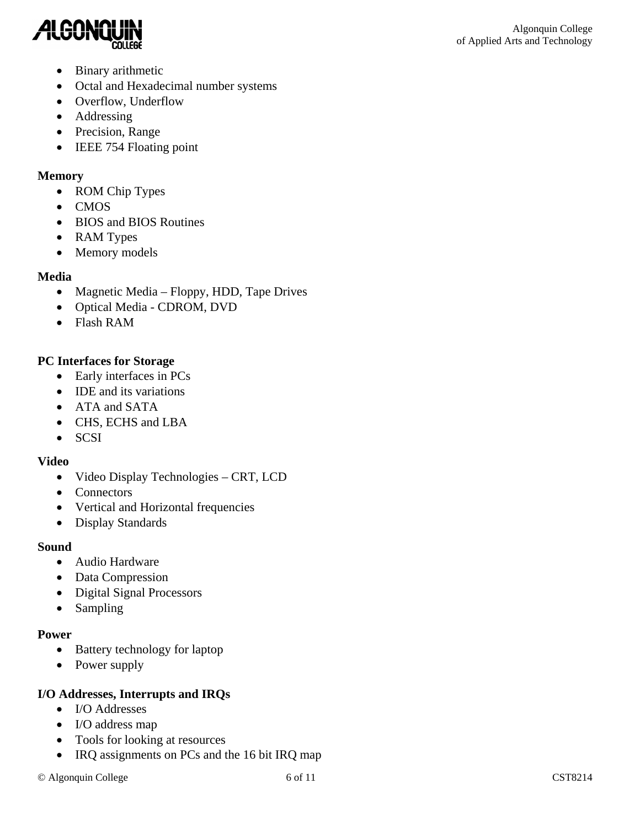

- Binary arithmetic
- Octal and Hexadecimal number systems
- Overflow, Underflow
- Addressing
- Precision, Range
- IEEE 754 Floating point

#### **Memory**

- ROM Chip Types
- CMOS
- BIOS and BIOS Routines
- RAM Types
- Memory models

#### **Media**

- Magnetic Media Floppy, HDD, Tape Drives
- Optical Media CDROM, DVD
- Flash RAM

### **PC Interfaces for Storage**

- Early interfaces in PCs
- **IDE** and its variations
- ATA and SATA
- CHS, ECHS and LBA
- SCSI

#### **Video**

- Video Display Technologies CRT, LCD
- Connectors
- Vertical and Horizontal frequencies
- Display Standards

#### **Sound**

- Audio Hardware
- Data Compression
- Digital Signal Processors
- Sampling

#### **Power**

- Battery technology for laptop
- Power supply

#### **I/O Addresses, Interrupts and IRQs**

- I/O Addresses
- I/O address map
- Tools for looking at resources
- IRQ assignments on PCs and the 16 bit IRQ map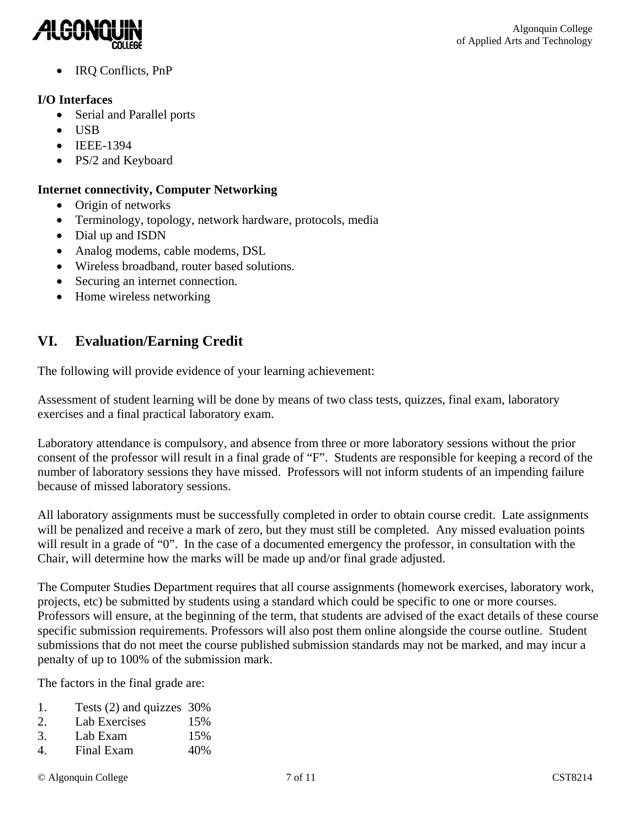

• IRQ Conflicts, PnP

#### **I/O Interfaces**

- Serial and Parallel ports
- USB
- IEEE-1394
- PS/2 and Keyboard

#### **Internet connectivity, Computer Networking**

- Origin of networks
- Terminology, topology, network hardware, protocols, media
- Dial up and ISDN
- Analog modems, cable modems, DSL
- Wireless broadband, router based solutions.
- Securing an internet connection.
- Home wireless networking

# **VI. Evaluation/Earning Credit**

The following will provide evidence of your learning achievement:

Assessment of student learning will be done by means of two class tests, quizzes, final exam, laboratory exercises and a final practical laboratory exam.

Laboratory attendance is compulsory, and absence from three or more laboratory sessions without the prior consent of the professor will result in a final grade of "F". Students are responsible for keeping a record of the number of laboratory sessions they have missed. Professors will not inform students of an impending failure because of missed laboratory sessions.

All laboratory assignments must be successfully completed in order to obtain course credit. Late assignments will be penalized and receive a mark of zero, but they must still be completed. Any missed evaluation points will result in a grade of "0". In the case of a documented emergency the professor, in consultation with the Chair, will determine how the marks will be made up and/or final grade adjusted.

The Computer Studies Department requires that all course assignments (homework exercises, laboratory work, projects, etc) be submitted by students using a standard which could be specific to one or more courses. Professors will ensure, at the beginning of the term, that students are advised of the exact details of these course specific submission requirements. Professors will also post them online alongside the course outline. Student submissions that do not meet the course published submission standards may not be marked, and may incur a penalty of up to 100% of the submission mark.

The factors in the final grade are:

- 1. Tests (2) and quizzes 30%
- 2. Lab Exercises 15%
- 3. Lab Exam 15%
- 4. Final Exam 40%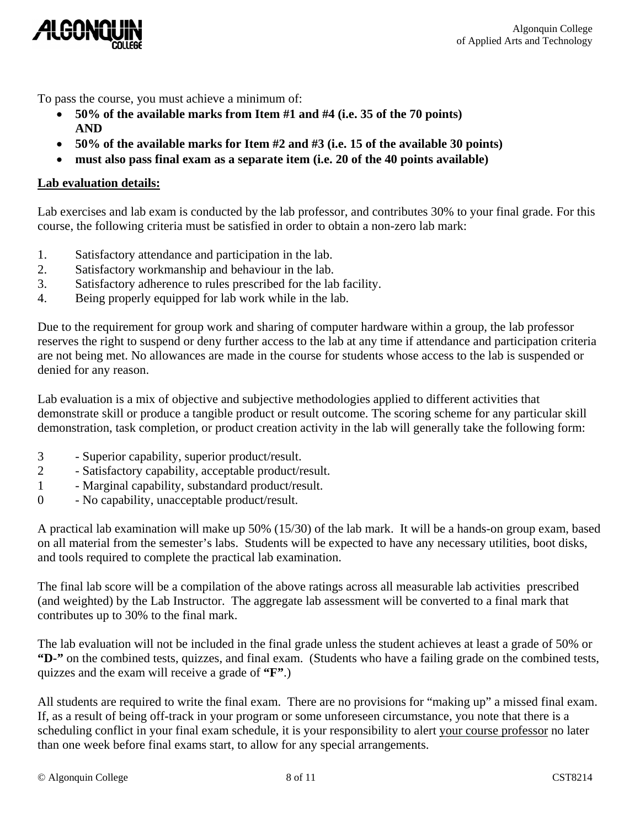

To pass the course, you must achieve a minimum of:

- **50% of the available marks from Item #1 and #4 (i.e. 35 of the 70 points) AND**
- **50% of the available marks for Item #2 and #3 (i.e. 15 of the available 30 points)**
- **must also pass final exam as a separate item (i.e. 20 of the 40 points available)**

#### **Lab evaluation details:**

Lab exercises and lab exam is conducted by the lab professor, and contributes 30% to your final grade. For this course, the following criteria must be satisfied in order to obtain a non-zero lab mark:

- 1. Satisfactory attendance and participation in the lab.
- 2. Satisfactory workmanship and behaviour in the lab.
- 3. Satisfactory adherence to rules prescribed for the lab facility.
- 4. Being properly equipped for lab work while in the lab.

Due to the requirement for group work and sharing of computer hardware within a group, the lab professor reserves the right to suspend or deny further access to the lab at any time if attendance and participation criteria are not being met. No allowances are made in the course for students whose access to the lab is suspended or denied for any reason.

Lab evaluation is a mix of objective and subjective methodologies applied to different activities that demonstrate skill or produce a tangible product or result outcome. The scoring scheme for any particular skill demonstration, task completion, or product creation activity in the lab will generally take the following form:

- 3 Superior capability, superior product/result.
- 2 Satisfactory capability, acceptable product/result.
- 1 Marginal capability, substandard product/result.
- 0 No capability, unacceptable product/result.

A practical lab examination will make up 50% (15/30) of the lab mark. It will be a hands-on group exam, based on all material from the semester's labs. Students will be expected to have any necessary utilities, boot disks, and tools required to complete the practical lab examination.

The final lab score will be a compilation of the above ratings across all measurable lab activities prescribed (and weighted) by the Lab Instructor. The aggregate lab assessment will be converted to a final mark that contributes up to 30% to the final mark.

The lab evaluation will not be included in the final grade unless the student achieves at least a grade of 50% or **"D-"** on the combined tests, quizzes, and final exam. (Students who have a failing grade on the combined tests, quizzes and the exam will receive a grade of **"F"**.)

All students are required to write the final exam. There are no provisions for "making up" a missed final exam. If, as a result of being off-track in your program or some unforeseen circumstance, you note that there is a scheduling conflict in your final exam schedule, it is your responsibility to alert your course professor no later than one week before final exams start, to allow for any special arrangements.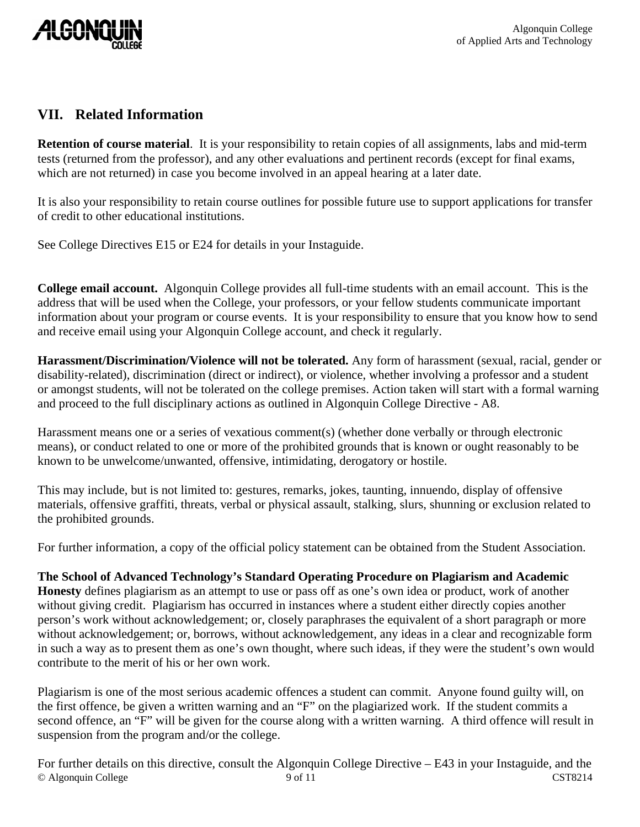

## **VII. Related Information**

**Retention of course material**. It is your responsibility to retain copies of all assignments, labs and mid-term tests (returned from the professor), and any other evaluations and pertinent records (except for final exams, which are not returned) in case you become involved in an appeal hearing at a later date.

It is also your responsibility to retain course outlines for possible future use to support applications for transfer of credit to other educational institutions.

See College Directives E15 or E24 for details in your Instaguide.

**College email account.** Algonquin College provides all full-time students with an email account. This is the address that will be used when the College, your professors, or your fellow students communicate important information about your program or course events. It is your responsibility to ensure that you know how to send and receive email using your Algonquin College account, and check it regularly.

**Harassment/Discrimination/Violence will not be tolerated.** Any form of harassment (sexual, racial, gender or disability-related), discrimination (direct or indirect), or violence, whether involving a professor and a student or amongst students, will not be tolerated on the college premises. Action taken will start with a formal warning and proceed to the full disciplinary actions as outlined in Algonquin College Directive - A8.

Harassment means one or a series of vexatious comment(s) (whether done verbally or through electronic means), or conduct related to one or more of the prohibited grounds that is known or ought reasonably to be known to be unwelcome/unwanted, offensive, intimidating, derogatory or hostile.

This may include, but is not limited to: gestures, remarks, jokes, taunting, innuendo, display of offensive materials, offensive graffiti, threats, verbal or physical assault, stalking, slurs, shunning or exclusion related to the prohibited grounds.

For further information, a copy of the official policy statement can be obtained from the Student Association.

**The School of Advanced Technology's Standard Operating Procedure on Plagiarism and Academic** 

**Honesty** defines plagiarism as an attempt to use or pass off as one's own idea or product, work of another without giving credit. Plagiarism has occurred in instances where a student either directly copies another person's work without acknowledgement; or, closely paraphrases the equivalent of a short paragraph or more without acknowledgement; or, borrows, without acknowledgement, any ideas in a clear and recognizable form in such a way as to present them as one's own thought, where such ideas, if they were the student's own would contribute to the merit of his or her own work.

Plagiarism is one of the most serious academic offences a student can commit. Anyone found guilty will, on the first offence, be given a written warning and an "F" on the plagiarized work. If the student commits a second offence, an "F" will be given for the course along with a written warning. A third offence will result in suspension from the program and/or the college.

© Algonquin College 8 0 of 11 CST8214 For further details on this directive, consult the Algonquin College Directive – E43 in your Instaguide, and the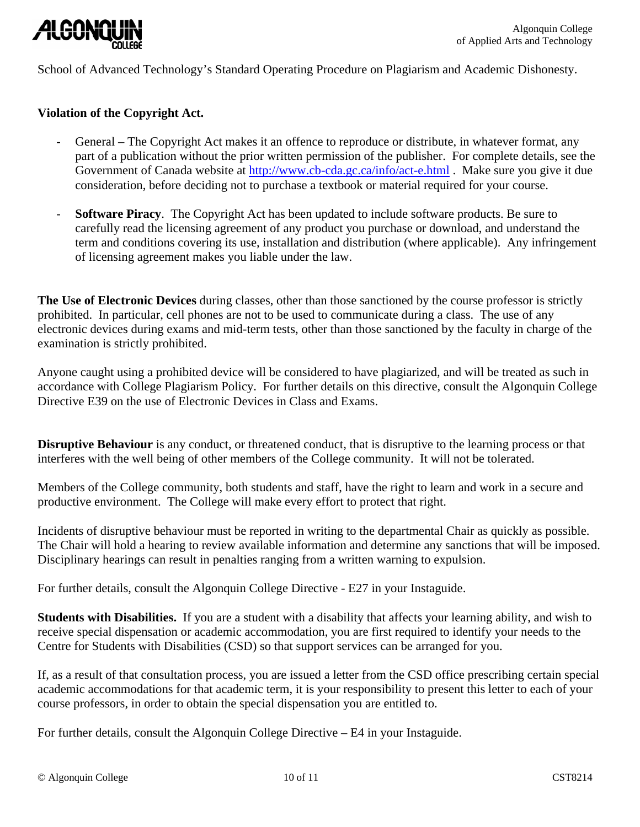

School of Advanced Technology's Standard Operating Procedure on Plagiarism and Academic Dishonesty.

#### **Violation of the Copyright Act.**

- General The Copyright Act makes it an offence to reproduce or distribute, in whatever format, any part of a publication without the prior written permission of the publisher. For complete details, see the Government of Canada website at<http://www.cb-cda.gc.ca/info/act-e.html> . Make sure you give it due consideration, before deciding not to purchase a textbook or material required for your course.
- **Software Piracy**. The Copyright Act has been updated to include software products. Be sure to carefully read the licensing agreement of any product you purchase or download, and understand the term and conditions covering its use, installation and distribution (where applicable). Any infringement of licensing agreement makes you liable under the law.

**The Use of Electronic Devices** during classes, other than those sanctioned by the course professor is strictly prohibited. In particular, cell phones are not to be used to communicate during a class. The use of any electronic devices during exams and mid-term tests, other than those sanctioned by the faculty in charge of the examination is strictly prohibited.

Anyone caught using a prohibited device will be considered to have plagiarized, and will be treated as such in accordance with College Plagiarism Policy. For further details on this directive, consult the Algonquin College Directive E39 on the use of Electronic Devices in Class and Exams.

**Disruptive Behaviour** is any conduct, or threatened conduct, that is disruptive to the learning process or that interferes with the well being of other members of the College community. It will not be tolerated.

Members of the College community, both students and staff, have the right to learn and work in a secure and productive environment. The College will make every effort to protect that right.

Incidents of disruptive behaviour must be reported in writing to the departmental Chair as quickly as possible. The Chair will hold a hearing to review available information and determine any sanctions that will be imposed. Disciplinary hearings can result in penalties ranging from a written warning to expulsion.

For further details, consult the Algonquin College Directive - E27 in your Instaguide.

**Students with Disabilities.** If you are a student with a disability that affects your learning ability, and wish to receive special dispensation or academic accommodation, you are first required to identify your needs to the Centre for Students with Disabilities (CSD) so that support services can be arranged for you.

If, as a result of that consultation process, you are issued a letter from the CSD office prescribing certain special academic accommodations for that academic term, it is your responsibility to present this letter to each of your course professors, in order to obtain the special dispensation you are entitled to.

For further details, consult the Algonquin College Directive – E4 in your Instaguide.